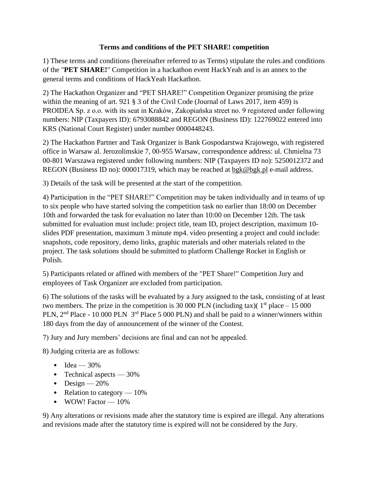## **Terms and conditions of the PET SHARE! competition**

1) These terms and conditions (hereinafter referred to as Terms) stipulate the rules and conditions of the "**PET SHARE!**" Competition in a hackathon event HackYeah and is an annex to the general terms and conditions of HackYeah Hackathon.

2) The Hackathon Organizer and "PET SHARE!" Competition Organizer promising the prize within the meaning of art. 921 § 3 of the Civil Code (Journal of Laws 2017, item 459) is PROIDEA Sp. z o.o. with its seat in Kraków, Zakopiańska street no. 9 registered under following numbers: NIP (Taxpayers ID): 6793088842 and REGON (Business ID): 122769022 entered into KRS (National Court Register) under number 0000448243.

2) The Hackathon Partner and Task Organizer is Bank Gospodarstwa Krajowego, with registered office in Warsaw al. Jerozolimskie 7, 00-955 Warsaw, correspondence address: ul. Chmielna 73 00-801 Warszawa registered under following numbers: NIP (Taxpayers ID no): 5250012372 and REGON (Business ID no): 000017319, which may be reached at [bgk@bgk.pl](mailto:bgk@bgk.pl) e-mail address.

3) Details of the task will be presented at the start of the competition.

4) Participation in the "PET SHARE!" Competition may be taken individually and in teams of up to six people who have started solving the competition task no earlier than 18:00 on December 10th and forwarded the task for evaluation no later than 10:00 on December 12th. The task submitted for evaluation must include: project title, team ID, project description, maximum 10 slides PDF presentation, maximum 3 minute mp4. video presenting a project and could include: snapshots, code repository, demo links, graphic materials and other materials related to the project. The task solutions should be submitted to platform Challenge Rocket in English or Polish.

5) Participants related or affined with members of the "PET Share!" Competition Jury and employees of Task Organizer are excluded from participation.

6) The solutions of the tasks will be evaluated by a Jury assigned to the task, consisting of at least two members. The prize in the competition is 30 000 PLN (including tax)(  $1<sup>st</sup>$  place – 15 000 PLN, 2<sup>nd</sup> Place - 10 000 PLN 3<sup>rd</sup> Place 5 000 PLN) and shall be paid to a winner/winners within 180 days from the day of announcement of the winner of the Contest.

7) Jury and Jury members' decisions are final and can not be appealed.

8) Judging criteria are as follows:

- Idea  $-30%$
- Technical aspects 30%
- Design  $-20%$
- Relation to category  $-10\%$
- WOW! Factor 10%

9) Any alterations or revisions made after the statutory time is expired are illegal. Any alterations and revisions made after the statutory time is expired will not be considered by the Jury.